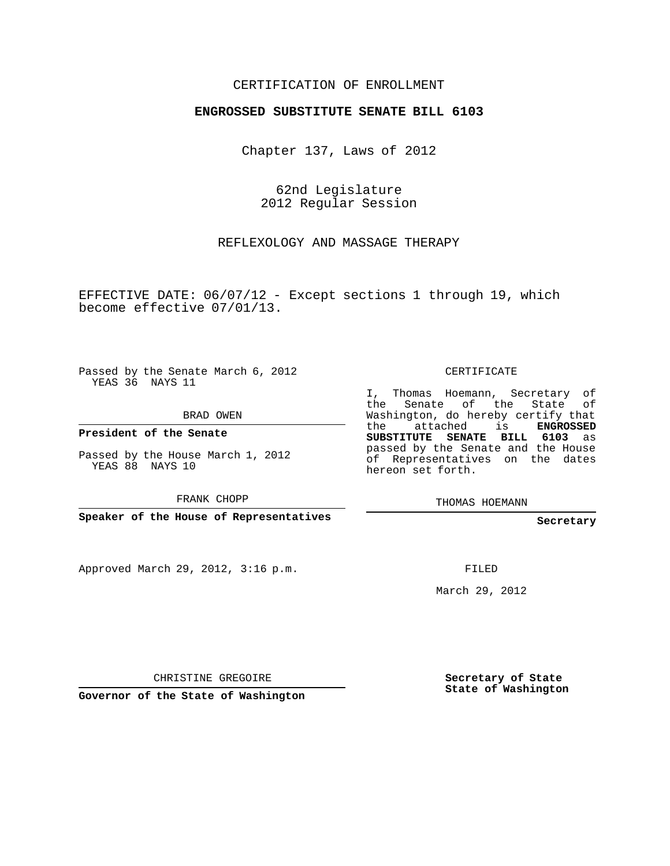#### CERTIFICATION OF ENROLLMENT

#### **ENGROSSED SUBSTITUTE SENATE BILL 6103**

Chapter 137, Laws of 2012

62nd Legislature 2012 Regular Session

REFLEXOLOGY AND MASSAGE THERAPY

EFFECTIVE DATE: 06/07/12 - Except sections 1 through 19, which become effective 07/01/13.

Passed by the Senate March 6, 2012 YEAS 36 NAYS 11

BRAD OWEN

**President of the Senate**

Passed by the House March 1, 2012 YEAS 88 NAYS 10

FRANK CHOPP

**Speaker of the House of Representatives**

Approved March 29, 2012, 3:16 p.m.

CERTIFICATE

I, Thomas Hoemann, Secretary of the Senate of the State of Washington, do hereby certify that the attached is **ENGROSSED SUBSTITUTE SENATE BILL 6103** as passed by the Senate and the House of Representatives on the dates hereon set forth.

THOMAS HOEMANN

**Secretary**

FILED

March 29, 2012

CHRISTINE GREGOIRE

**Governor of the State of Washington**

**Secretary of State State of Washington**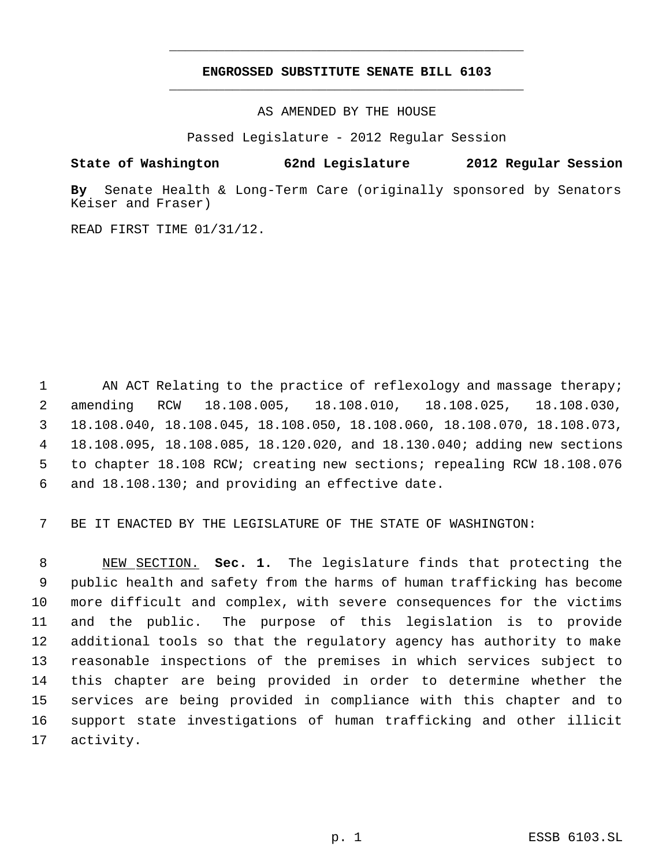## **ENGROSSED SUBSTITUTE SENATE BILL 6103** \_\_\_\_\_\_\_\_\_\_\_\_\_\_\_\_\_\_\_\_\_\_\_\_\_\_\_\_\_\_\_\_\_\_\_\_\_\_\_\_\_\_\_\_\_

\_\_\_\_\_\_\_\_\_\_\_\_\_\_\_\_\_\_\_\_\_\_\_\_\_\_\_\_\_\_\_\_\_\_\_\_\_\_\_\_\_\_\_\_\_

AS AMENDED BY THE HOUSE

Passed Legislature - 2012 Regular Session

# **State of Washington 62nd Legislature 2012 Regular Session**

**By** Senate Health & Long-Term Care (originally sponsored by Senators Keiser and Fraser)

READ FIRST TIME 01/31/12.

1 AN ACT Relating to the practice of reflexology and massage therapy; amending RCW 18.108.005, 18.108.010, 18.108.025, 18.108.030, 18.108.040, 18.108.045, 18.108.050, 18.108.060, 18.108.070, 18.108.073, 18.108.095, 18.108.085, 18.120.020, and 18.130.040; adding new sections to chapter 18.108 RCW; creating new sections; repealing RCW 18.108.076 and 18.108.130; and providing an effective date.

7 BE IT ENACTED BY THE LEGISLATURE OF THE STATE OF WASHINGTON:

 NEW SECTION. **Sec. 1.** The legislature finds that protecting the public health and safety from the harms of human trafficking has become more difficult and complex, with severe consequences for the victims and the public. The purpose of this legislation is to provide additional tools so that the regulatory agency has authority to make reasonable inspections of the premises in which services subject to this chapter are being provided in order to determine whether the services are being provided in compliance with this chapter and to support state investigations of human trafficking and other illicit activity.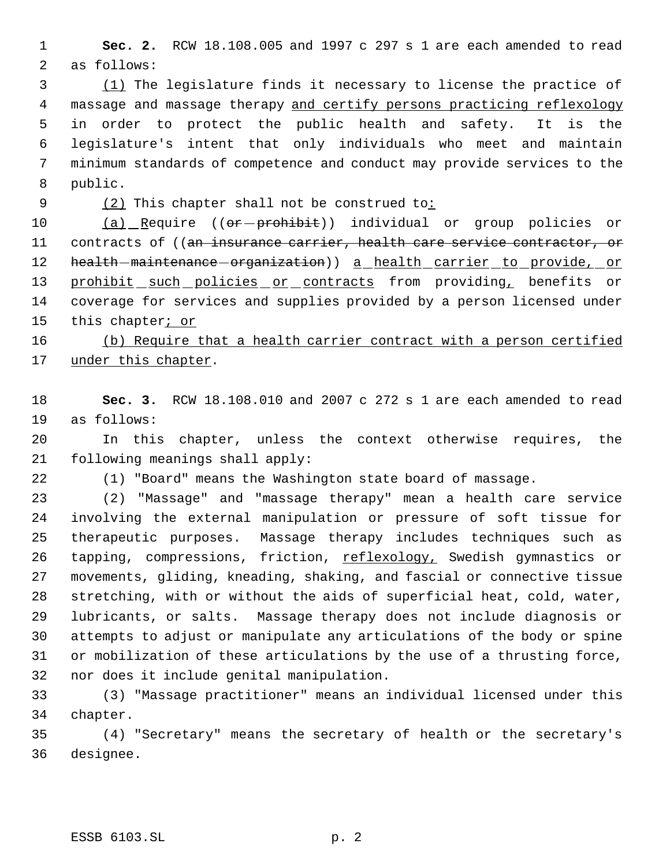**Sec. 2.** RCW 18.108.005 and 1997 c 297 s 1 are each amended to read as follows:

 (1) The legislature finds it necessary to license the practice of massage and massage therapy and certify persons practicing reflexology in order to protect the public health and safety. It is the legislature's intent that only individuals who meet and maintain minimum standards of competence and conduct may provide services to the public.

9 (2) This chapter shall not be construed to:

10 (a) Require ((or-prohibit)) individual or group policies or 11 contracts of ((an insurance carrier, health care service contractor, or 12 health-maintenance-organization)) a health carrier to provide, or 13 prohibit such policies or contracts from providing, benefits or coverage for services and supplies provided by a person licensed under 15 this chapter<sub>i or</sub>

16 (b) Require that a health carrier contract with a person certified 17 under this chapter.

 **Sec. 3.** RCW 18.108.010 and 2007 c 272 s 1 are each amended to read as follows:

 In this chapter, unless the context otherwise requires, the following meanings shall apply:

(1) "Board" means the Washington state board of massage.

 (2) "Massage" and "massage therapy" mean a health care service involving the external manipulation or pressure of soft tissue for therapeutic purposes. Massage therapy includes techniques such as 26 tapping, compressions, friction, reflexology, Swedish gymnastics or movements, gliding, kneading, shaking, and fascial or connective tissue stretching, with or without the aids of superficial heat, cold, water, lubricants, or salts. Massage therapy does not include diagnosis or attempts to adjust or manipulate any articulations of the body or spine or mobilization of these articulations by the use of a thrusting force, nor does it include genital manipulation.

 (3) "Massage practitioner" means an individual licensed under this chapter.

 (4) "Secretary" means the secretary of health or the secretary's designee.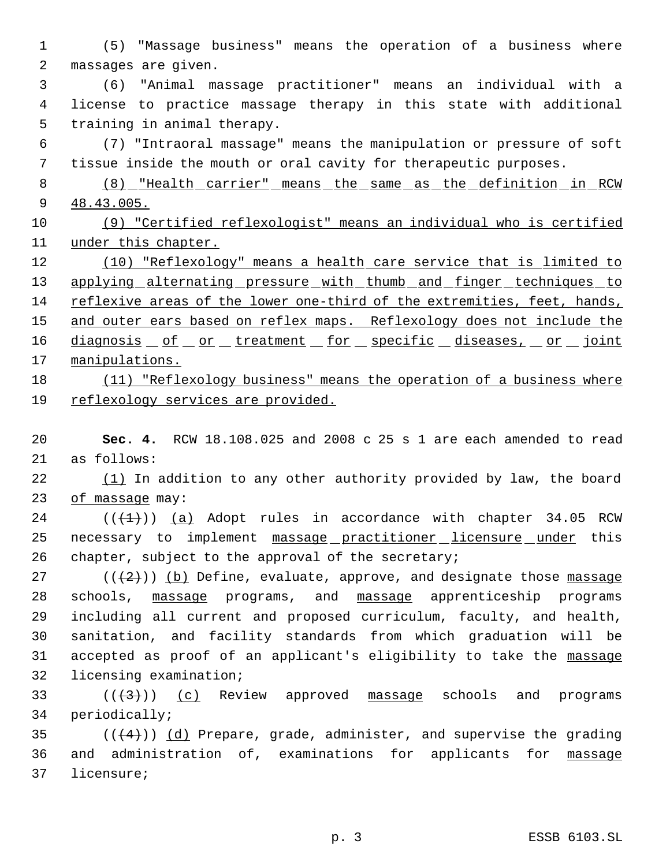(5) "Massage business" means the operation of a business where massages are given.

 (6) "Animal massage practitioner" means an individual with a license to practice massage therapy in this state with additional training in animal therapy.

 (7) "Intraoral massage" means the manipulation or pressure of soft tissue inside the mouth or oral cavity for therapeutic purposes.

 (8) "Health carrier" means the same as the definition in RCW 48.43.005.

 (9) "Certified reflexologist" means an individual who is certified under this chapter.

12 (10) "Reflexology" means a health care service that is limited to 13 applying alternating pressure with thumb and finger techniques to reflexive areas of the lower one-third of the extremities, feet, hands, 15 and outer ears based on reflex maps. Reflexology does not include the 16 diagnosis of or treatment for specific diseases, or joint 17 manipulations. 18 (11) "Reflexology business" means the operation of a business where

## reflexology services are provided.

 **Sec. 4.** RCW 18.108.025 and 2008 c 25 s 1 are each amended to read as follows:

22  $(1)$  In addition to any other authority provided by law, the board 23 of massage may:

 (( $(1)$ )) (a) Adopt rules in accordance with chapter 34.05 RCW 25 necessary to implement massage practitioner licensure under this chapter, subject to the approval of the secretary;

 $((+2))$  (b) Define, evaluate, approve, and designate those massage schools, massage programs, and massage apprenticeship programs including all current and proposed curriculum, faculty, and health, sanitation, and facility standards from which graduation will be accepted as proof of an applicant's eligibility to take the massage licensing examination;

33 ( $(\langle 3 \rangle)$ ) (c) Review approved massage schools and programs periodically;

35  $((+4))$   $(d)$  Prepare, grade, administer, and supervise the grading 36 and administration of, examinations for applicants for massage licensure;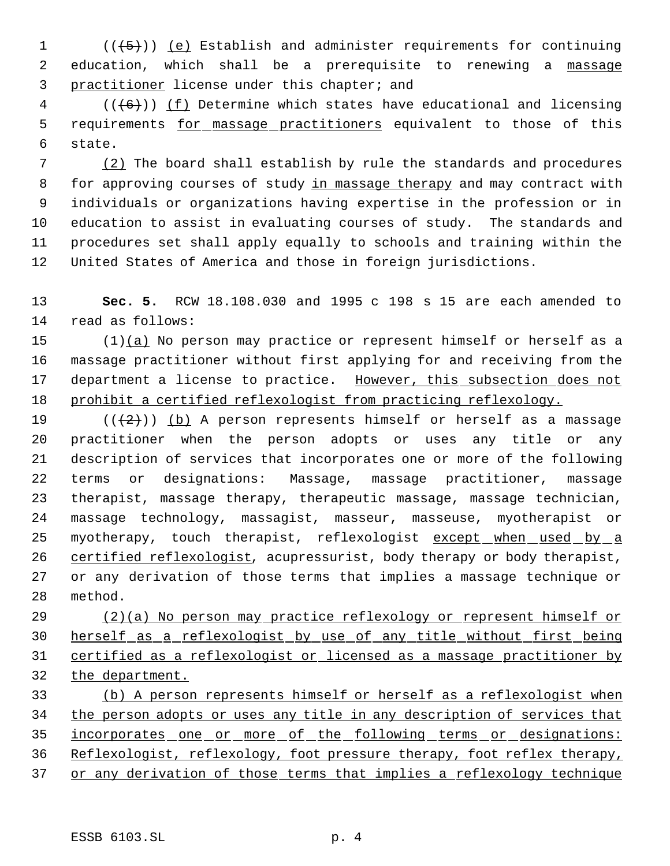1  $((+5))$  (e) Establish and administer requirements for continuing 2 education, which shall be a prerequisite to renewing a massage practitioner license under this chapter; and

 (( $\left(\frac{6}{6}\right)$ ) <u>(f)</u> Determine which states have educational and licensing 5 requirements for massage practitioners equivalent to those of this state.

 (2) The board shall establish by rule the standards and procedures 8 for approving courses of study in massage therapy and may contract with individuals or organizations having expertise in the profession or in education to assist in evaluating courses of study. The standards and procedures set shall apply equally to schools and training within the United States of America and those in foreign jurisdictions.

 **Sec. 5.** RCW 18.108.030 and 1995 c 198 s 15 are each amended to read as follows:

 $(1)(a)$  No person may practice or represent himself or herself as a massage practitioner without first applying for and receiving from the 17 department a license to practice. However, this subsection does not prohibit a certified reflexologist from practicing reflexology.

19 ( $(\frac{2}{2})$ ) (b) A person represents himself or herself as a massage practitioner when the person adopts or uses any title or any description of services that incorporates one or more of the following terms or designations: Massage, massage practitioner, massage therapist, massage therapy, therapeutic massage, massage technician, massage technology, massagist, masseur, masseuse, myotherapist or 25 myotherapy, touch therapist, reflexologist except when used by a 26 certified reflexologist, acupressurist, body therapy or body therapist, or any derivation of those terms that implies a massage technique or method.

 (2)(a) No person may practice reflexology or represent himself or herself as a reflexologist by use of any title without first being certified as a reflexologist or licensed as a massage practitioner by the department.

 (b) A person represents himself or herself as a reflexologist when 34 the person adopts or uses any title in any description of services that incorporates one or more of the following terms or designations: Reflexologist, reflexology, foot pressure therapy, foot reflex therapy, 37 or any derivation of those terms that implies a reflexology technique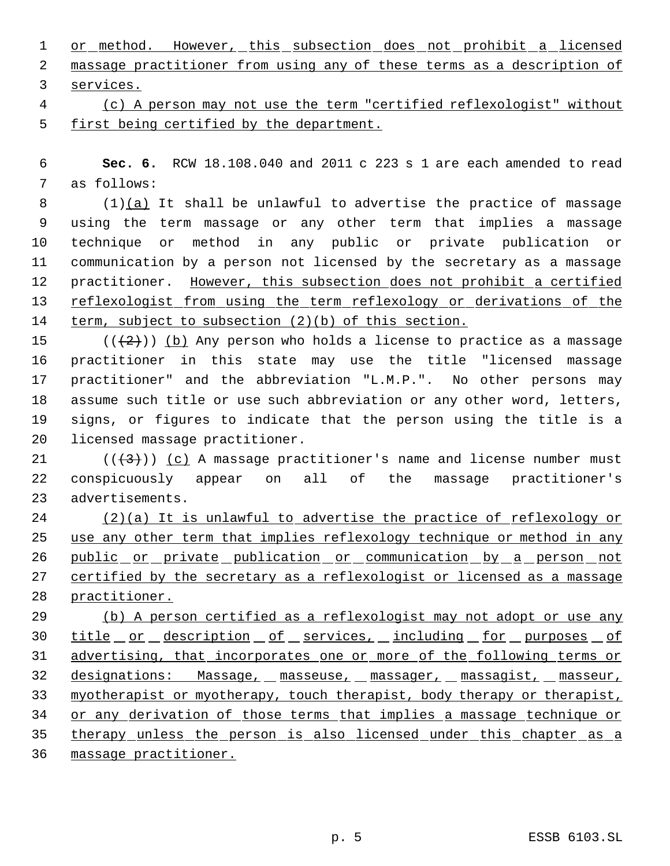1 or method. However, this subsection does not prohibit a licensed massage practitioner from using any of these terms as a description of services.

 (c) A person may not use the term "certified reflexologist" without first being certified by the department.

 **Sec. 6.** RCW 18.108.040 and 2011 c 223 s 1 are each amended to read as follows:

 $(1)(a)$  It shall be unlawful to advertise the practice of massage using the term massage or any other term that implies a massage technique or method in any public or private publication or communication by a person not licensed by the secretary as a massage 12 practitioner. However, this subsection does not prohibit a certified reflexologist from using the term reflexology or derivations of the term, subject to subsection (2)(b) of this section.

 $((+2))$  (b) Any person who holds a license to practice as a massage practitioner in this state may use the title "licensed massage practitioner" and the abbreviation "L.M.P.". No other persons may assume such title or use such abbreviation or any other word, letters, signs, or figures to indicate that the person using the title is a licensed massage practitioner.

21  $((+3))$   $(c)$  A massage practitioner's name and license number must conspicuously appear on all of the massage practitioner's advertisements.

 (2)(a) It is unlawful to advertise the practice of reflexology or use any other term that implies reflexology technique or method in any 26 public or private publication or communication by a person not 27 certified by the secretary as a reflexologist or licensed as a massage practitioner.

 (b) A person certified as a reflexologist may not adopt or use any 30 title or description of services, including for purposes of advertising, that incorporates one or more of the following terms or designations: Massage, masseuse, massager, massagist, masseur, 33 myotherapist or myotherapy, touch therapist, body therapy or therapist, or any derivation of those terms that implies a massage technique or therapy unless the person is also licensed under this chapter as a massage practitioner.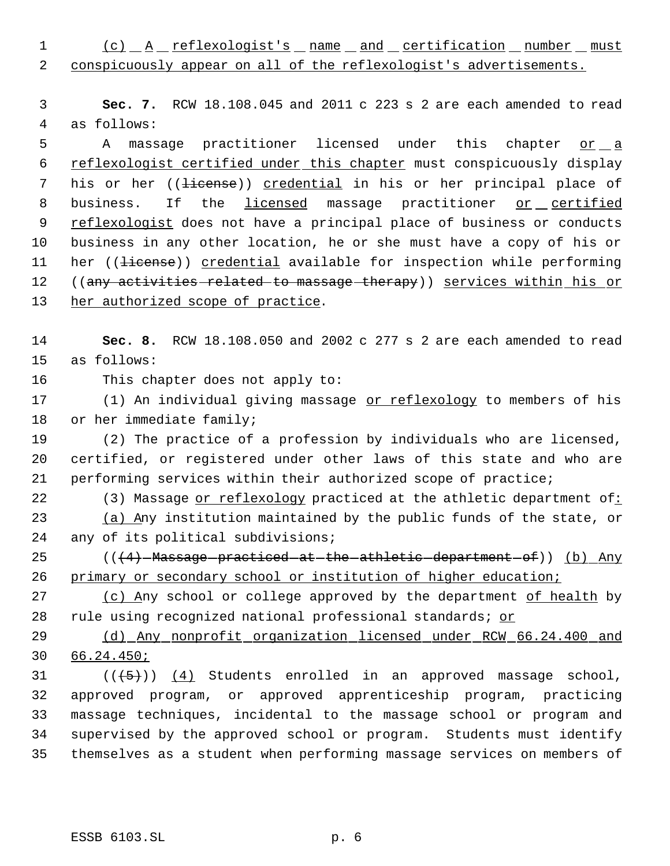1 (c)  $A$  reflexologist's name and certification number must conspicuously appear on all of the reflexologist's advertisements.

 **Sec. 7.** RCW 18.108.045 and 2011 c 223 s 2 are each amended to read as follows:

5 A massage practitioner licensed under this chapter or a reflexologist certified under this chapter must conspicuously display 7 his or her ((<del>license</del>)) credential in his or her principal place of 8 business. If the licensed massage practitioner or certified reflexologist does not have a principal place of business or conducts business in any other location, he or she must have a copy of his or 11 her ((<del>license</del>)) credential available for inspection while performing 12 ((any activities related to massage therapy)) services within his or her authorized scope of practice.

 **Sec. 8.** RCW 18.108.050 and 2002 c 277 s 2 are each amended to read as follows:

This chapter does not apply to:

17 (1) An individual giving massage or reflexology to members of his or her immediate family;

 (2) The practice of a profession by individuals who are licensed, certified, or registered under other laws of this state and who are performing services within their authorized scope of practice;

22 (3) Massage or reflexology practiced at the athletic department of: 23 (a) Any institution maintained by the public funds of the state, or any of its political subdivisions;

25 (((4) Massage practiced at the athletic department of)) (b) Any 26 primary or secondary school or institution of higher education;

 (c) Any school or college approved by the department of health by 28 rule using recognized national professional standards; or

 (d) Any nonprofit organization licensed under RCW 66.24.400 and 66.24.450;

 $((\langle 5 \rangle)(4)$  Students enrolled in an approved massage school, approved program, or approved apprenticeship program, practicing massage techniques, incidental to the massage school or program and supervised by the approved school or program. Students must identify themselves as a student when performing massage services on members of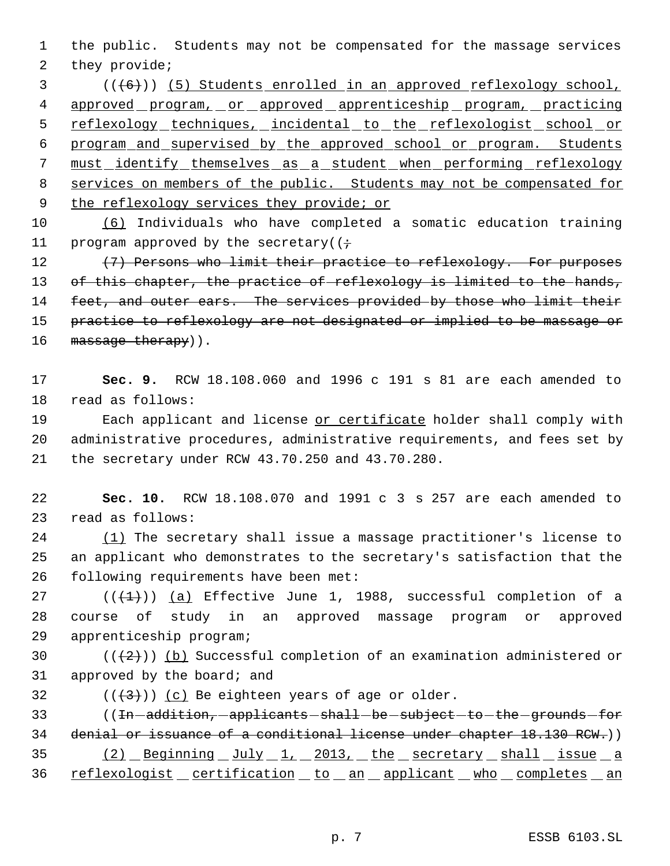1 the public. Students may not be compensated for the massage services 2 they provide;

 3 (((6))) (5) Students enrolled in an approved reflexology school, 4 approved program, or approved apprenticeship program, practicing 5 reflexology techniques, incidental to the reflexologist school or 6 program and supervised by the approved school or program. Students 7 must identify themselves as a student when performing reflexology 8 services on members of the public. Students may not be compensated for 9 the reflexology services they provide; or

10 (6) Individuals who have completed a somatic education training 11 program approved by the secretary( $(i \div)$ 

12 (7) Persons who limit their practice to reflexology. For purposes 13 of this chapter, the practice of reflexology is limited to the hands, 14 feet, and outer ears. The services provided by those who limit their 15 practice to reflexology are not designated or implied to be massage or 16 massage therapy)).

17 **Sec. 9.** RCW 18.108.060 and 1996 c 191 s 81 are each amended to 18 read as follows:

19 Each applicant and license or certificate holder shall comply with 20 administrative procedures, administrative requirements, and fees set by 21 the secretary under RCW 43.70.250 and 43.70.280.

22 **Sec. 10.** RCW 18.108.070 and 1991 c 3 s 257 are each amended to 23 read as follows:

24 (1) The secretary shall issue a massage practitioner's license to 25 an applicant who demonstrates to the secretary's satisfaction that the 26 following requirements have been met:

27 ( $(\overline{+1})$ ) (a) Effective June 1, 1988, successful completion of a 28 course of study in an approved massage program or approved 29 apprenticeship program;

30  $((+2)^{n})$  (b) Successful completion of an examination administered or 31 approved by the board; and

32  $((\langle 3 \rangle)(c)$  Be eighteen years of age or older.

33 ((In-addition, -applicants - shall - be - subject - to - the - grounds - for 34 denial or issuance of a conditional license under chapter 18.130 RCW.))  $(2)$  Beginning July 1, 2013, the secretary shall issue a 36 reflexologist certification to an applicant who completes an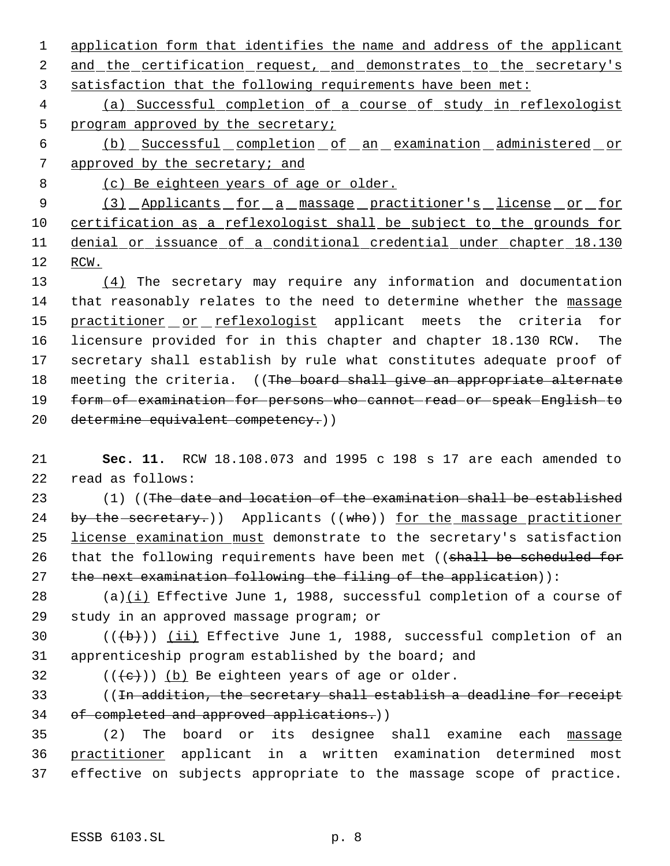1 application form that identifies the name and address of the applicant 2 and the certification request, and demonstrates to the secretary's 3 satisfaction that the following requirements have been met:

 4 (a) Successful completion of a course of study in reflexologist 5 program approved by the secretary;

 6 (b) Successful completion of an examination administered or 7 approved by the secretary; and

8 (c) Be eighteen years of age or older.

9 (3) Applicants for a massage practitioner's license or for 10 certification as a reflexologist shall be subject to the grounds for 11 denial or issuance of a conditional credential under chapter 18.130 12 RCW.

 (4) The secretary may require any information and documentation 14 that reasonably relates to the need to determine whether the massage 15 practitioner or reflexologist applicant meets the criteria for licensure provided for in this chapter and chapter 18.130 RCW. The secretary shall establish by rule what constitutes adequate proof of 18 meeting the criteria. ((The board shall give an appropriate alternate form of examination for persons who cannot read or speak English to determine equivalent competency.))

21 **Sec. 11.** RCW 18.108.073 and 1995 c 198 s 17 are each amended to 22 read as follows:

23 (1) ((The date and location of the examination shall be established 24 by the secretary.) Applicants ((who)) for the massage practitioner 25 license examination must demonstrate to the secretary's satisfaction 26 that the following requirements have been met ((shall be scheduled for 27 the next examination following the filing of the application)):

28 (a)(i) Effective June 1, 1988, successful completion of a course of 29 study in an approved massage program; or

30  $((+b))$   $(ii)$  Effective June 1, 1988, successful completion of an 31 apprenticeship program established by the board; and

32  $((\{e\}) \cap (b))$  Be eighteen years of age or older.

33 ((In addition, the secretary shall establish a deadline for receipt 34 of completed and approved applications.))

35 (2) The board or its designee shall examine each massage 36 practitioner applicant in a written examination determined most 37 effective on subjects appropriate to the massage scope of practice.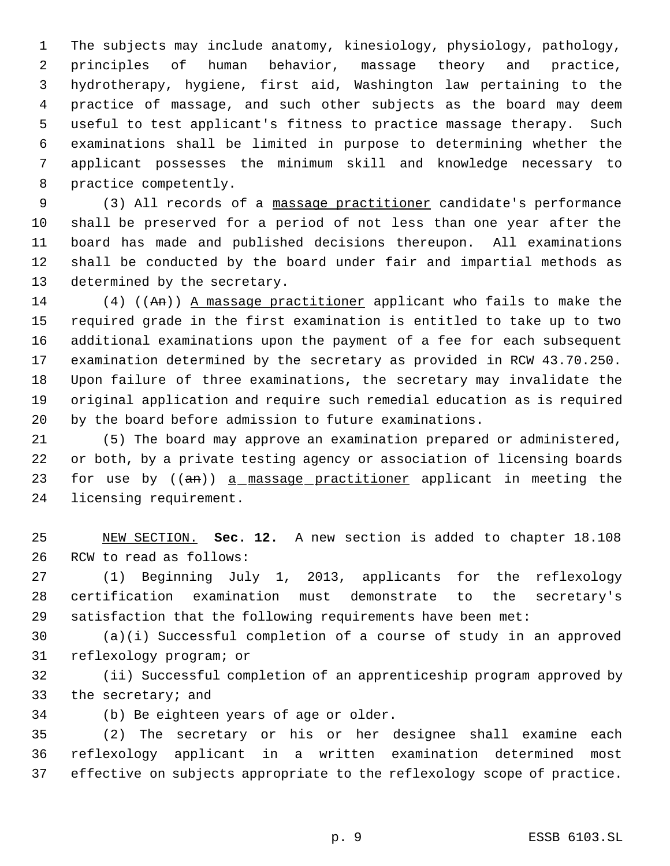The subjects may include anatomy, kinesiology, physiology, pathology, principles of human behavior, massage theory and practice, hydrotherapy, hygiene, first aid, Washington law pertaining to the practice of massage, and such other subjects as the board may deem useful to test applicant's fitness to practice massage therapy. Such examinations shall be limited in purpose to determining whether the applicant possesses the minimum skill and knowledge necessary to practice competently.

 (3) All records of a massage practitioner candidate's performance shall be preserved for a period of not less than one year after the board has made and published decisions thereupon. All examinations shall be conducted by the board under fair and impartial methods as determined by the secretary.

14 (4) ((An)) A massage practitioner applicant who fails to make the required grade in the first examination is entitled to take up to two additional examinations upon the payment of a fee for each subsequent examination determined by the secretary as provided in RCW 43.70.250. Upon failure of three examinations, the secretary may invalidate the original application and require such remedial education as is required by the board before admission to future examinations.

 (5) The board may approve an examination prepared or administered, or both, by a private testing agency or association of licensing boards 23 for use by ((an)) a massage practitioner applicant in meeting the licensing requirement.

 NEW SECTION. **Sec. 12.** A new section is added to chapter 18.108 RCW to read as follows:

 (1) Beginning July 1, 2013, applicants for the reflexology certification examination must demonstrate to the secretary's satisfaction that the following requirements have been met:

 (a)(i) Successful completion of a course of study in an approved reflexology program; or

 (ii) Successful completion of an apprenticeship program approved by the secretary; and

(b) Be eighteen years of age or older.

 (2) The secretary or his or her designee shall examine each reflexology applicant in a written examination determined most effective on subjects appropriate to the reflexology scope of practice.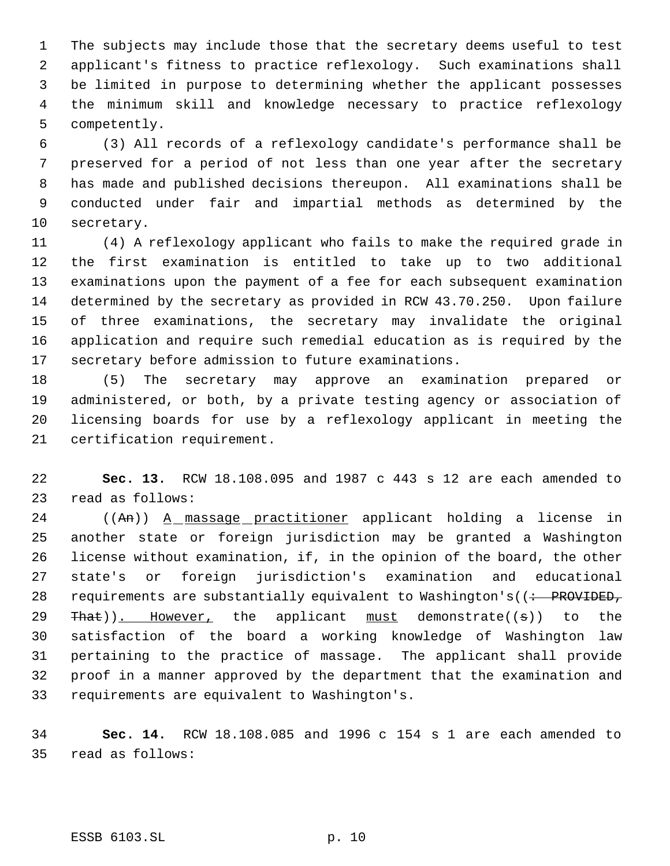The subjects may include those that the secretary deems useful to test applicant's fitness to practice reflexology. Such examinations shall be limited in purpose to determining whether the applicant possesses the minimum skill and knowledge necessary to practice reflexology competently.

 (3) All records of a reflexology candidate's performance shall be preserved for a period of not less than one year after the secretary has made and published decisions thereupon. All examinations shall be conducted under fair and impartial methods as determined by the secretary.

 (4) A reflexology applicant who fails to make the required grade in the first examination is entitled to take up to two additional examinations upon the payment of a fee for each subsequent examination determined by the secretary as provided in RCW 43.70.250. Upon failure of three examinations, the secretary may invalidate the original application and require such remedial education as is required by the secretary before admission to future examinations.

 (5) The secretary may approve an examination prepared or administered, or both, by a private testing agency or association of licensing boards for use by a reflexology applicant in meeting the certification requirement.

 **Sec. 13.** RCW 18.108.095 and 1987 c 443 s 12 are each amended to read as follows:

24 ((An)) A massage practitioner applicant holding a license in another state or foreign jurisdiction may be granted a Washington license without examination, if, in the opinion of the board, the other state's or foreign jurisdiction's examination and educational 28 requirements are substantially equivalent to Washington's( $($  + PROVIDED,  $\text{That}$ ). However, the applicant  $\text{must}$  demonstrate((s)) to the satisfaction of the board a working knowledge of Washington law pertaining to the practice of massage. The applicant shall provide proof in a manner approved by the department that the examination and requirements are equivalent to Washington's.

 **Sec. 14.** RCW 18.108.085 and 1996 c 154 s 1 are each amended to read as follows:

ESSB 6103.SL p. 10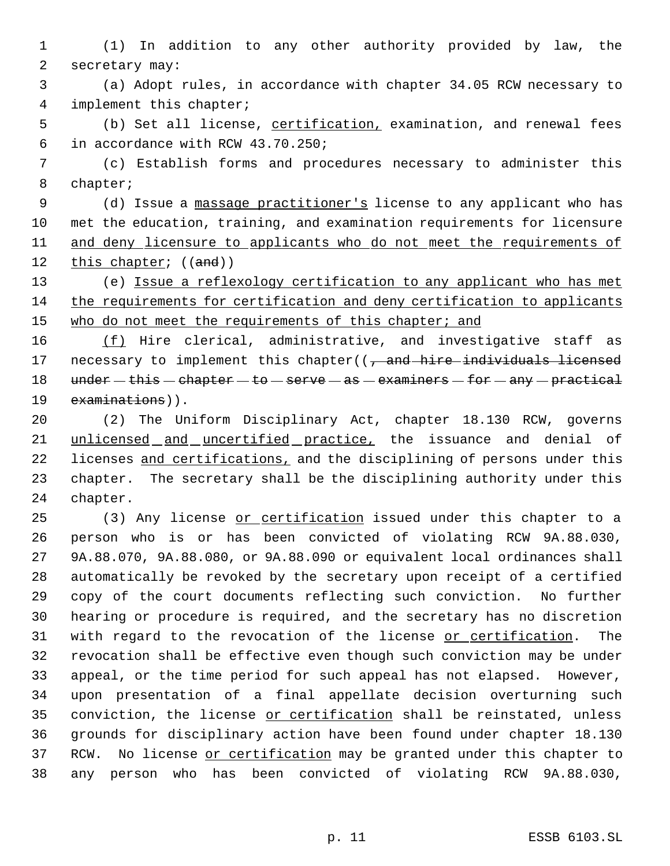(1) In addition to any other authority provided by law, the secretary may:

 (a) Adopt rules, in accordance with chapter 34.05 RCW necessary to implement this chapter;

 (b) Set all license, certification, examination, and renewal fees in accordance with RCW 43.70.250;

 (c) Establish forms and procedures necessary to administer this chapter;

9 (d) Issue a massage practitioner's license to any applicant who has met the education, training, and examination requirements for licensure 11 and deny licensure to applicants who do not meet the requirements of 12 this chapter; ((and))

 (e) Issue a reflexology certification to any applicant who has met the requirements for certification and deny certification to applicants 15 who do not meet the requirements of this chapter; and

16 (f) Hire clerical, administrative, and investigative staff as 17 necessary to implement this chapter( $\sqrt{7}$  and hire individuals licensed 18  $u$ nder - this - chapter - to - serve - as - examiners - for - any - practical 19 examinations)).

 (2) The Uniform Disciplinary Act, chapter 18.130 RCW, governs unlicensed and uncertified practice, the issuance and denial of 22 licenses and certifications, and the disciplining of persons under this chapter. The secretary shall be the disciplining authority under this chapter.

 (3) Any license or certification issued under this chapter to a person who is or has been convicted of violating RCW 9A.88.030, 9A.88.070, 9A.88.080, or 9A.88.090 or equivalent local ordinances shall automatically be revoked by the secretary upon receipt of a certified copy of the court documents reflecting such conviction. No further hearing or procedure is required, and the secretary has no discretion 31 with regard to the revocation of the license or certification. The revocation shall be effective even though such conviction may be under appeal, or the time period for such appeal has not elapsed. However, upon presentation of a final appellate decision overturning such 35 conviction, the license or certification shall be reinstated, unless grounds for disciplinary action have been found under chapter 18.130 37 RCW. No license or certification may be granted under this chapter to any person who has been convicted of violating RCW 9A.88.030,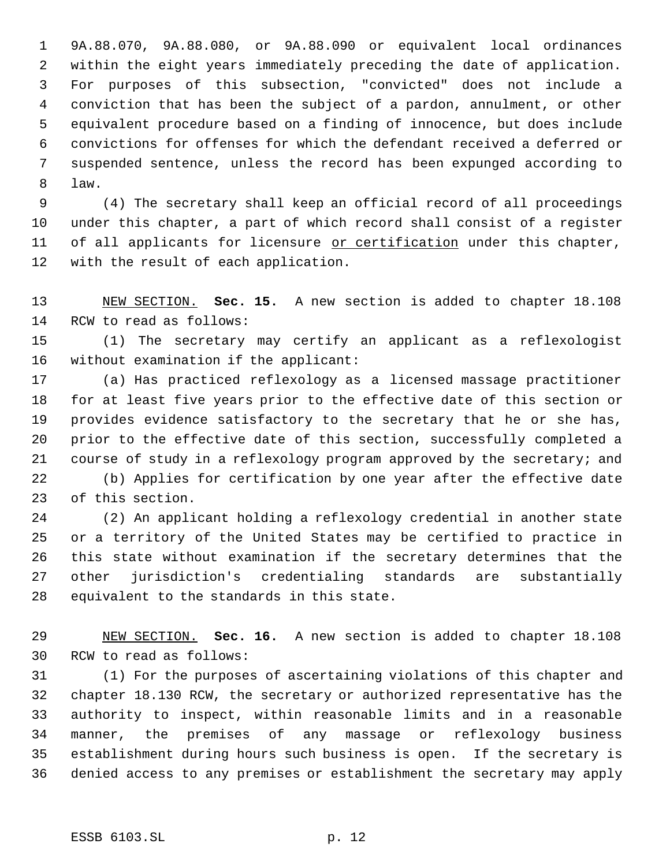9A.88.070, 9A.88.080, or 9A.88.090 or equivalent local ordinances within the eight years immediately preceding the date of application. For purposes of this subsection, "convicted" does not include a conviction that has been the subject of a pardon, annulment, or other equivalent procedure based on a finding of innocence, but does include convictions for offenses for which the defendant received a deferred or suspended sentence, unless the record has been expunged according to law.

 (4) The secretary shall keep an official record of all proceedings under this chapter, a part of which record shall consist of a register 11 of all applicants for licensure or certification under this chapter, with the result of each application.

 NEW SECTION. **Sec. 15.** A new section is added to chapter 18.108 RCW to read as follows:

 (1) The secretary may certify an applicant as a reflexologist without examination if the applicant:

 (a) Has practiced reflexology as a licensed massage practitioner for at least five years prior to the effective date of this section or provides evidence satisfactory to the secretary that he or she has, prior to the effective date of this section, successfully completed a course of study in a reflexology program approved by the secretary; and

 (b) Applies for certification by one year after the effective date of this section.

 (2) An applicant holding a reflexology credential in another state or a territory of the United States may be certified to practice in this state without examination if the secretary determines that the other jurisdiction's credentialing standards are substantially equivalent to the standards in this state.

 NEW SECTION. **Sec. 16.** A new section is added to chapter 18.108 RCW to read as follows:

 (1) For the purposes of ascertaining violations of this chapter and chapter 18.130 RCW, the secretary or authorized representative has the authority to inspect, within reasonable limits and in a reasonable manner, the premises of any massage or reflexology business establishment during hours such business is open. If the secretary is denied access to any premises or establishment the secretary may apply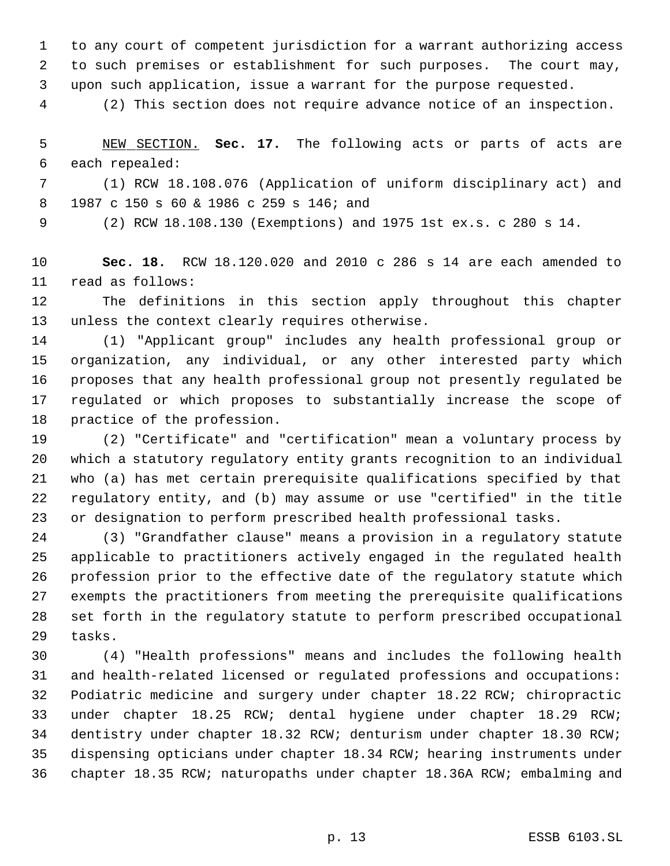to any court of competent jurisdiction for a warrant authorizing access to such premises or establishment for such purposes. The court may, upon such application, issue a warrant for the purpose requested.

(2) This section does not require advance notice of an inspection.

 NEW SECTION. **Sec. 17.** The following acts or parts of acts are each repealed:

 (1) RCW 18.108.076 (Application of uniform disciplinary act) and 1987 c 150 s 60 & 1986 c 259 s 146; and

(2) RCW 18.108.130 (Exemptions) and 1975 1st ex.s. c 280 s 14.

 **Sec. 18.** RCW 18.120.020 and 2010 c 286 s 14 are each amended to read as follows:

 The definitions in this section apply throughout this chapter unless the context clearly requires otherwise.

 (1) "Applicant group" includes any health professional group or organization, any individual, or any other interested party which proposes that any health professional group not presently regulated be regulated or which proposes to substantially increase the scope of practice of the profession.

 (2) "Certificate" and "certification" mean a voluntary process by which a statutory regulatory entity grants recognition to an individual who (a) has met certain prerequisite qualifications specified by that regulatory entity, and (b) may assume or use "certified" in the title or designation to perform prescribed health professional tasks.

 (3) "Grandfather clause" means a provision in a regulatory statute applicable to practitioners actively engaged in the regulated health profession prior to the effective date of the regulatory statute which exempts the practitioners from meeting the prerequisite qualifications set forth in the regulatory statute to perform prescribed occupational tasks.

 (4) "Health professions" means and includes the following health and health-related licensed or regulated professions and occupations: Podiatric medicine and surgery under chapter 18.22 RCW; chiropractic under chapter 18.25 RCW; dental hygiene under chapter 18.29 RCW; dentistry under chapter 18.32 RCW; denturism under chapter 18.30 RCW; dispensing opticians under chapter 18.34 RCW; hearing instruments under chapter 18.35 RCW; naturopaths under chapter 18.36A RCW; embalming and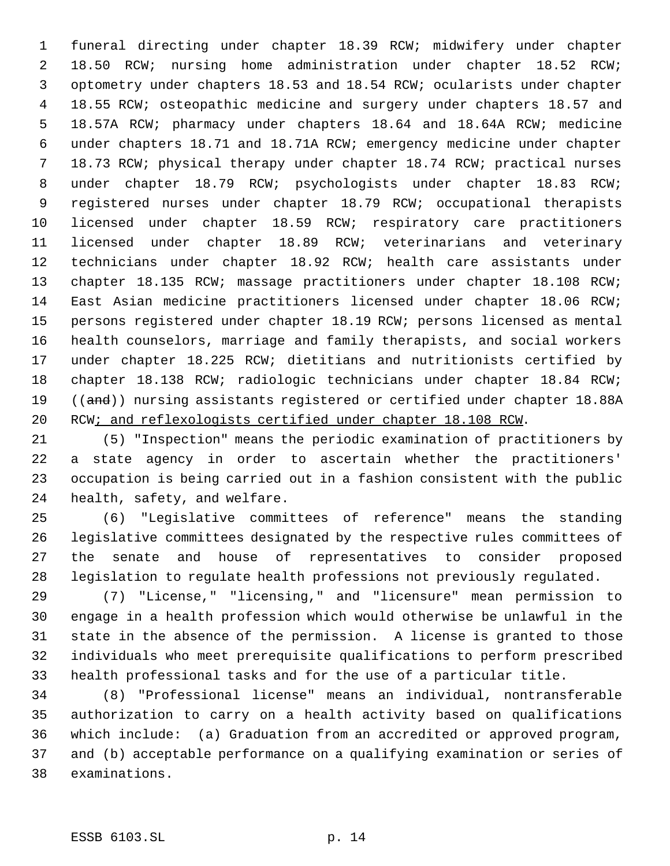funeral directing under chapter 18.39 RCW; midwifery under chapter 18.50 RCW; nursing home administration under chapter 18.52 RCW; optometry under chapters 18.53 and 18.54 RCW; ocularists under chapter 18.55 RCW; osteopathic medicine and surgery under chapters 18.57 and 18.57A RCW; pharmacy under chapters 18.64 and 18.64A RCW; medicine under chapters 18.71 and 18.71A RCW; emergency medicine under chapter 18.73 RCW; physical therapy under chapter 18.74 RCW; practical nurses under chapter 18.79 RCW; psychologists under chapter 18.83 RCW; registered nurses under chapter 18.79 RCW; occupational therapists licensed under chapter 18.59 RCW; respiratory care practitioners licensed under chapter 18.89 RCW; veterinarians and veterinary technicians under chapter 18.92 RCW; health care assistants under chapter 18.135 RCW; massage practitioners under chapter 18.108 RCW; East Asian medicine practitioners licensed under chapter 18.06 RCW; persons registered under chapter 18.19 RCW; persons licensed as mental health counselors, marriage and family therapists, and social workers under chapter 18.225 RCW; dietitians and nutritionists certified by chapter 18.138 RCW; radiologic technicians under chapter 18.84 RCW; 19 ((and)) nursing assistants registered or certified under chapter 18.88A 20 RCW; and reflexologists certified under chapter 18.108 RCW.

 (5) "Inspection" means the periodic examination of practitioners by a state agency in order to ascertain whether the practitioners' occupation is being carried out in a fashion consistent with the public health, safety, and welfare.

 (6) "Legislative committees of reference" means the standing legislative committees designated by the respective rules committees of the senate and house of representatives to consider proposed legislation to regulate health professions not previously regulated.

 (7) "License," "licensing," and "licensure" mean permission to engage in a health profession which would otherwise be unlawful in the state in the absence of the permission. A license is granted to those individuals who meet prerequisite qualifications to perform prescribed health professional tasks and for the use of a particular title.

 (8) "Professional license" means an individual, nontransferable authorization to carry on a health activity based on qualifications which include: (a) Graduation from an accredited or approved program, and (b) acceptable performance on a qualifying examination or series of examinations.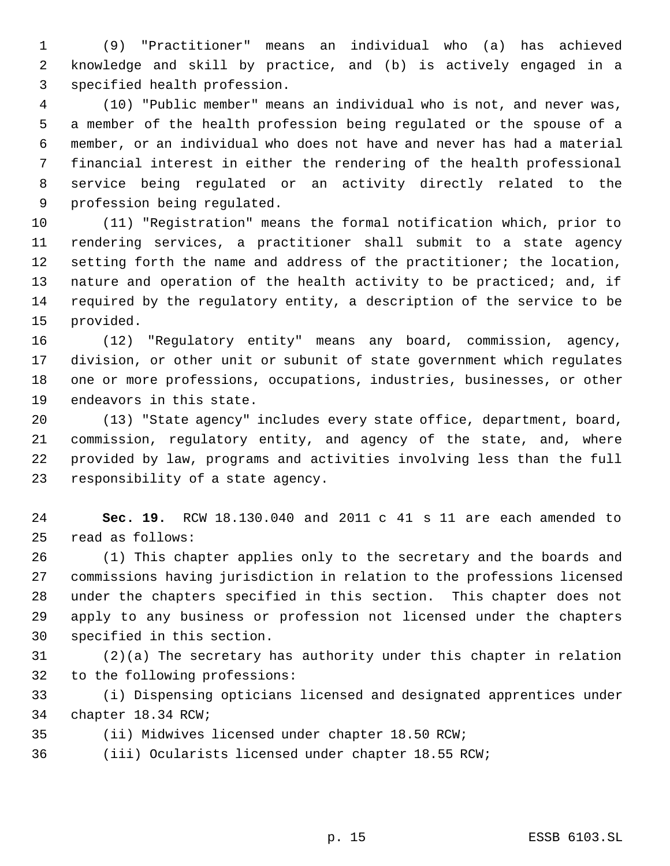(9) "Practitioner" means an individual who (a) has achieved knowledge and skill by practice, and (b) is actively engaged in a specified health profession.

 (10) "Public member" means an individual who is not, and never was, a member of the health profession being regulated or the spouse of a member, or an individual who does not have and never has had a material financial interest in either the rendering of the health professional service being regulated or an activity directly related to the profession being regulated.

 (11) "Registration" means the formal notification which, prior to rendering services, a practitioner shall submit to a state agency 12 setting forth the name and address of the practitioner; the location, 13 nature and operation of the health activity to be practiced; and, if required by the regulatory entity, a description of the service to be provided.

 (12) "Regulatory entity" means any board, commission, agency, division, or other unit or subunit of state government which regulates one or more professions, occupations, industries, businesses, or other endeavors in this state.

 (13) "State agency" includes every state office, department, board, commission, regulatory entity, and agency of the state, and, where provided by law, programs and activities involving less than the full responsibility of a state agency.

 **Sec. 19.** RCW 18.130.040 and 2011 c 41 s 11 are each amended to read as follows:

 (1) This chapter applies only to the secretary and the boards and commissions having jurisdiction in relation to the professions licensed under the chapters specified in this section. This chapter does not apply to any business or profession not licensed under the chapters specified in this section.

 (2)(a) The secretary has authority under this chapter in relation to the following professions:

 (i) Dispensing opticians licensed and designated apprentices under chapter 18.34 RCW;

(ii) Midwives licensed under chapter 18.50 RCW;

(iii) Ocularists licensed under chapter 18.55 RCW;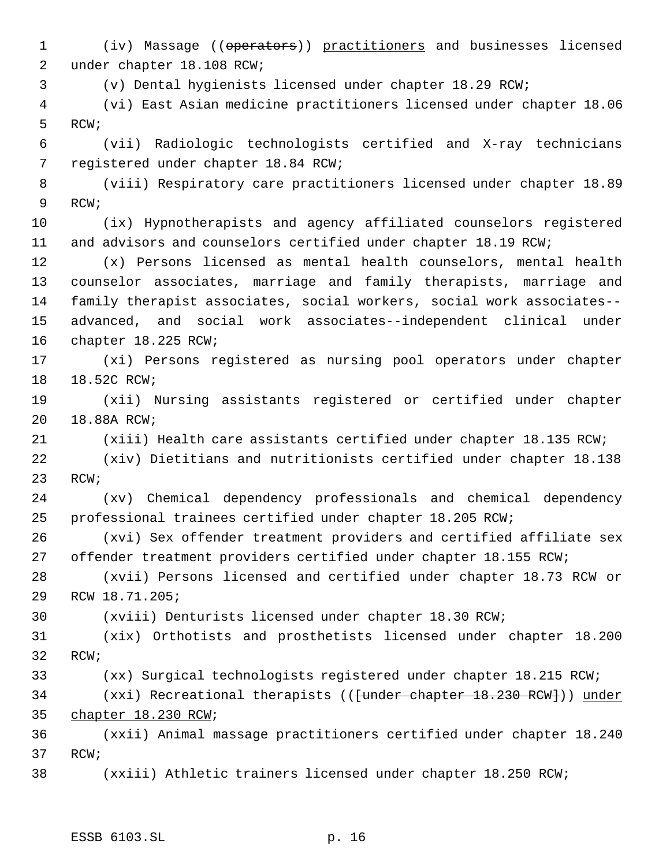(iv) Massage ((operators)) practitioners and businesses licensed under chapter 18.108 RCW;

(v) Dental hygienists licensed under chapter 18.29 RCW;

 (vi) East Asian medicine practitioners licensed under chapter 18.06 RCW;

 (vii) Radiologic technologists certified and X-ray technicians registered under chapter 18.84 RCW;

 (viii) Respiratory care practitioners licensed under chapter 18.89 RCW;

 (ix) Hypnotherapists and agency affiliated counselors registered and advisors and counselors certified under chapter 18.19 RCW;

 (x) Persons licensed as mental health counselors, mental health counselor associates, marriage and family therapists, marriage and family therapist associates, social workers, social work associates-- advanced, and social work associates--independent clinical under chapter 18.225 RCW;

 (xi) Persons registered as nursing pool operators under chapter 18.52C RCW;

 (xii) Nursing assistants registered or certified under chapter 18.88A RCW;

(xiii) Health care assistants certified under chapter 18.135 RCW;

 (xiv) Dietitians and nutritionists certified under chapter 18.138 RCW;

 (xv) Chemical dependency professionals and chemical dependency professional trainees certified under chapter 18.205 RCW;

 (xvi) Sex offender treatment providers and certified affiliate sex offender treatment providers certified under chapter 18.155 RCW;

 (xvii) Persons licensed and certified under chapter 18.73 RCW or RCW 18.71.205;

(xviii) Denturists licensed under chapter 18.30 RCW;

 (xix) Orthotists and prosthetists licensed under chapter 18.200 RCW;

(xx) Surgical technologists registered under chapter 18.215 RCW;

34 (xxi) Recreational therapists ((<del>[under chapter 18.230 RCW]</del>)) under chapter 18.230 RCW;

 (xxii) Animal massage practitioners certified under chapter 18.240 RCW;

(xxiii) Athletic trainers licensed under chapter 18.250 RCW;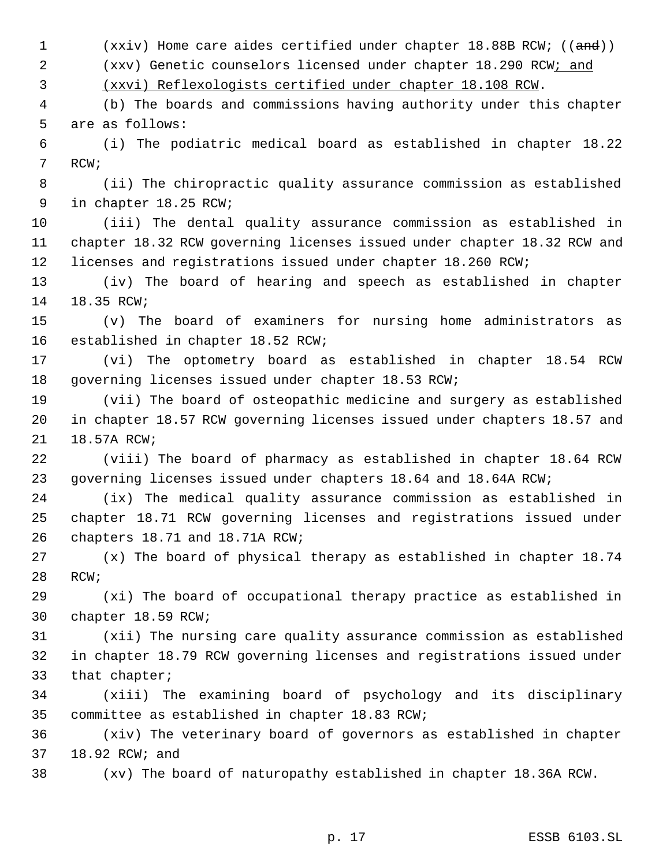1 (xxiv) Home care aides certified under chapter 18.88B RCW; ((and))

(xxv) Genetic counselors licensed under chapter 18.290 RCW; and

(xxvi) Reflexologists certified under chapter 18.108 RCW.

 (b) The boards and commissions having authority under this chapter are as follows:

 (i) The podiatric medical board as established in chapter 18.22 RCW;

 (ii) The chiropractic quality assurance commission as established in chapter 18.25 RCW;

 (iii) The dental quality assurance commission as established in chapter 18.32 RCW governing licenses issued under chapter 18.32 RCW and licenses and registrations issued under chapter 18.260 RCW;

 (iv) The board of hearing and speech as established in chapter 18.35 RCW;

 (v) The board of examiners for nursing home administrators as established in chapter 18.52 RCW;

 (vi) The optometry board as established in chapter 18.54 RCW governing licenses issued under chapter 18.53 RCW;

 (vii) The board of osteopathic medicine and surgery as established in chapter 18.57 RCW governing licenses issued under chapters 18.57 and 18.57A RCW;

 (viii) The board of pharmacy as established in chapter 18.64 RCW governing licenses issued under chapters 18.64 and 18.64A RCW;

 (ix) The medical quality assurance commission as established in chapter 18.71 RCW governing licenses and registrations issued under chapters 18.71 and 18.71A RCW;

 (x) The board of physical therapy as established in chapter 18.74 RCW;

 (xi) The board of occupational therapy practice as established in chapter 18.59 RCW;

 (xii) The nursing care quality assurance commission as established in chapter 18.79 RCW governing licenses and registrations issued under that chapter;

 (xiii) The examining board of psychology and its disciplinary committee as established in chapter 18.83 RCW;

 (xiv) The veterinary board of governors as established in chapter 18.92 RCW; and

(xv) The board of naturopathy established in chapter 18.36A RCW.